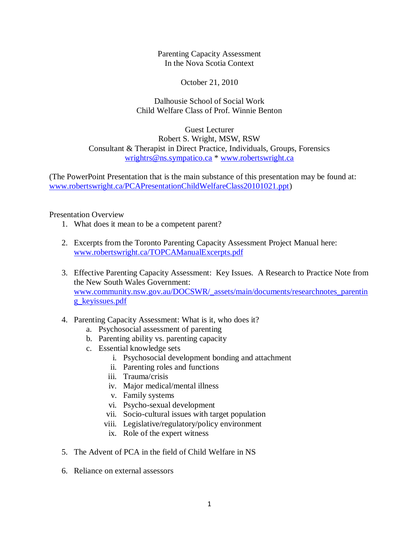Parenting Capacity Assessment In the Nova Scotia Context

October 21, 2010

Dalhousie School of Social Work Child Welfare Class of Prof. Winnie Benton

Guest Lecturer Robert S. Wright, MSW, RSW Consultant & Therapist in Direct Practice, Individuals, Groups, Forensics [wrightrs@ns.sympatico.ca](mailto:wrightrs@ns.sympatico.ca) \* [www.robertswright.ca](http://www.robertswright.ca/)

(The PowerPoint Presentation that is the main substance of this presentation may be found at: [www.robertswright.ca/PCAPresentationChildWelfareClass20101021.ppt\)](http://www.robertswright.ca/PCAPresentationChildWelfareClass20101021.ppt)

Presentation Overview

- 1. What does it mean to be a competent parent?
- 2. Excerpts from the Toronto Parenting Capacity Assessment Project Manual here: [www.robertswright.ca/TOPCAManualExcerpts.pdf](http://www.robertswright.ca/TOPCAManualExcerpts.pdf)
- 3. Effective Parenting Capacity Assessment: Key Issues. A Research to Practice Note from the New South Wales Government: [www.community.nsw.gov.au/DOCSWR/\\_assets/main/documents/researchnotes\\_parentin](http://www.community.nsw.gov.au/DOCSWR/_assets/main/documents/researchnotes_parenting_keyissues.pdf) [g\\_keyissues.pdf](http://www.community.nsw.gov.au/DOCSWR/_assets/main/documents/researchnotes_parenting_keyissues.pdf)
- 4. Parenting Capacity Assessment: What is it, who does it?
	- a. Psychosocial assessment of parenting
	- b. Parenting ability vs. parenting capacity
	- c. Essential knowledge sets
		- i. Psychosocial development bonding and attachment
			- ii. Parenting roles and functions
		- iii. Trauma/crisis
		- iv. Major medical/mental illness
		- v. Family systems
		- vi. Psycho-sexual development
		- vii. Socio-cultural issues with target population
		- viii. Legislative/regulatory/policy environment
		- ix. Role of the expert witness
- 5. The Advent of PCA in the field of Child Welfare in NS
- 6. Reliance on external assessors